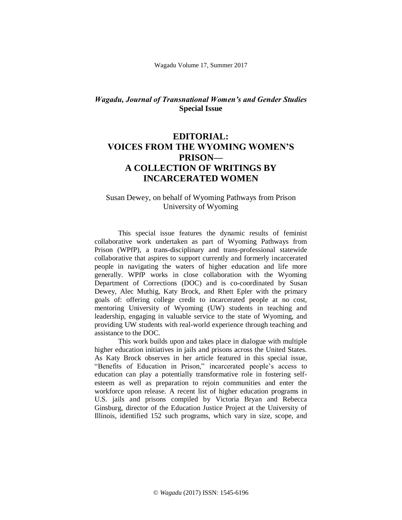Wagadu Volume 17, Summer 2017

## *Wagadu, Journal of Transnational Women's and Gender Studies* **Special Issue**

## **EDITORIAL: VOICES FROM THE WYOMING WOMEN'S PRISON— A COLLECTION OF WRITINGS BY INCARCERATED WOMEN**

## Susan Dewey, on behalf of Wyoming Pathways from Prison University of Wyoming

This special issue features the dynamic results of feminist collaborative work undertaken as part of Wyoming Pathways from Prison (WPfP), a trans-disciplinary and trans-professional statewide collaborative that aspires to support currently and formerly incarcerated people in navigating the waters of higher education and life more generally. WPfP works in close collaboration with the Wyoming Department of Corrections (DOC) and is co-coordinated by Susan Dewey, Alec Muthig, Katy Brock, and Rhett Epler with the primary goals of: offering college credit to incarcerated people at no cost, mentoring University of Wyoming (UW) students in teaching and leadership, engaging in valuable service to the state of Wyoming, and providing UW students with real-world experience through teaching and assistance to the DOC.

This work builds upon and takes place in dialogue with multiple higher education initiatives in jails and prisons across the United States. As Katy Brock observes in her article featured in this special issue, "Benefits of Education in Prison," incarcerated people's access to education can play a potentially transformative role in fostering selfesteem as well as preparation to rejoin communities and enter the workforce upon release. A recent list of higher education programs in U.S. jails and prisons compiled by Victoria Bryan and Rebecca Ginsburg, director of the Education Justice Project at the University of Illinois, identified 152 such programs, which vary in size, scope, and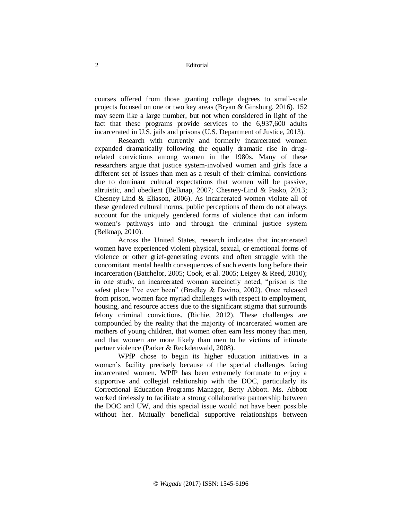courses offered from those granting college degrees to small-scale projects focused on one or two key areas (Bryan & Ginsburg, 2016). 152 may seem like a large number, but not when considered in light of the fact that these programs provide services to the 6,937,600 adults incarcerated in U.S. jails and prisons (U.S. Department of Justice, 2013).

Research with currently and formerly incarcerated women expanded dramatically following the equally dramatic rise in drugrelated convictions among women in the 1980s. Many of these researchers argue that justice system-involved women and girls face a different set of issues than men as a result of their criminal convictions due to dominant cultural expectations that women will be passive, altruistic, and obedient (Belknap, 2007; Chesney-Lind & Pasko, 2013; Chesney-Lind & Eliason, 2006). As incarcerated women violate all of these gendered cultural norms, public perceptions of them do not always account for the uniquely gendered forms of violence that can inform women's pathways into and through the criminal justice system (Belknap, 2010).

Across the United States, research indicates that incarcerated women have experienced violent physical, sexual, or emotional forms of violence or other grief-generating events and often struggle with the concomitant mental health consequences of such events long before their incarceration (Batchelor, 2005; Cook, et al. 2005; Leigey & Reed, 2010); in one study, an incarcerated woman succinctly noted, "prison is the safest place I've ever been" (Bradley & Davino, 2002). Once released from prison, women face myriad challenges with respect to employment, housing, and resource access due to the significant stigma that surrounds felony criminal convictions. (Richie, 2012). These challenges are compounded by the reality that the majority of incarcerated women are mothers of young children, that women often earn less money than men, and that women are more likely than men to be victims of intimate partner violence (Parker & Reckdenwald, 2008).

WPfP chose to begin its higher education initiatives in a women's facility precisely because of the special challenges facing incarcerated women. WPfP has been extremely fortunate to enjoy a supportive and collegial relationship with the DOC, particularly its Correctional Education Programs Manager, Betty Abbott. Ms. Abbott worked tirelessly to facilitate a strong collaborative partnership between the DOC and UW, and this special issue would not have been possible without her. Mutually beneficial supportive relationships between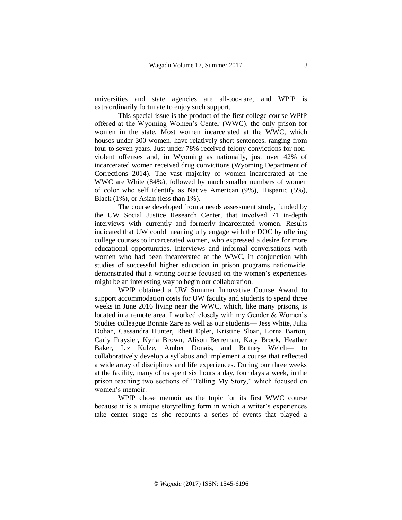universities and state agencies are all-too-rare, and WPfP is extraordinarily fortunate to enjoy such support.

This special issue is the product of the first college course WPfP offered at the Wyoming Women's Center (WWC), the only prison for women in the state. Most women incarcerated at the WWC, which houses under 300 women, have relatively short sentences, ranging from four to seven years. Just under 78% received felony convictions for nonviolent offenses and, in Wyoming as nationally, just over 42% of incarcerated women received drug convictions (Wyoming Department of Corrections 2014). The vast majority of women incarcerated at the WWC are White (84%), followed by much smaller numbers of women of color who self identify as Native American (9%), Hispanic (5%), Black (1%), or Asian (less than 1%).

The course developed from a needs assessment study, funded by the UW Social Justice Research Center, that involved 71 in-depth interviews with currently and formerly incarcerated women. Results indicated that UW could meaningfully engage with the DOC by offering college courses to incarcerated women, who expressed a desire for more educational opportunities. Interviews and informal conversations with women who had been incarcerated at the WWC, in conjunction with studies of successful higher education in prison programs nationwide, demonstrated that a writing course focused on the women's experiences might be an interesting way to begin our collaboration.

WPfP obtained a UW Summer Innovative Course Award to support accommodation costs for UW faculty and students to spend three weeks in June 2016 living near the WWC, which, like many prisons, is located in a remote area. I worked closely with my Gender & Women's Studies colleague Bonnie Zare as well as our students— Jess White, Julia Dohan, Cassandra Hunter, Rhett Epler, Kristine Sloan, Lorna Barton, Carly Fraysier, Kyria Brown, Alison Berreman, Katy Brock, Heather Baker, Liz Kulze, Amber Donais, and Britney Welch— to collaboratively develop a syllabus and implement a course that reflected a wide array of disciplines and life experiences. During our three weeks at the facility, many of us spent six hours a day, four days a week, in the prison teaching two sections of "Telling My Story," which focused on women's memoir.

WPfP chose memoir as the topic for its first WWC course because it is a unique storytelling form in which a writer's experiences take center stage as she recounts a series of events that played a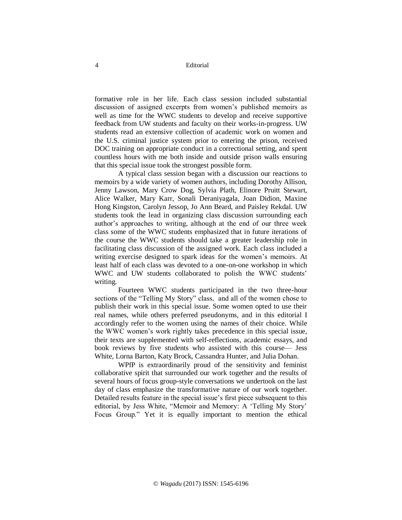formative role in her life. Each class session included substantial discussion of assigned excerpts from women's published memoirs as well as time for the WWC students to develop and receive supportive feedback from UW students and faculty on their works-in-progress. UW students read an extensive collection of academic work on women and the U.S. criminal justice system prior to entering the prison, received DOC training on appropriate conduct in a correctional setting, and spent countless hours with me both inside and outside prison walls ensuring that this special issue took the strongest possible form.

A typical class session began with a discussion our reactions to memoirs by a wide variety of women authors, including Dorothy Allison, Jenny Lawson, Mary Crow Dog, Sylvia Plath, Elinore Pruitt Stewart, Alice Walker, Mary Karr, Sonali Deraniyagala, Joan Didion, Maxine Hong Kingston, Carolyn Jessop, Jo Ann Beard, and Paisley Rekdal. UW students took the lead in organizing class discussion surrounding each author's approaches to writing, although at the end of our three week class some of the WWC students emphasized that in future iterations of the course the WWC students should take a greater leadership role in facilitating class discussion of the assigned work. Each class included a writing exercise designed to spark ideas for the women's memoirs. At least half of each class was devoted to a one-on-one workshop in which WWC and UW students collaborated to polish the WWC students' writing.

Fourteen WWC students participated in the two three-hour sections of the "Telling My Story" class, and all of the women chose to publish their work in this special issue. Some women opted to use their real names, while others preferred pseudonyms, and in this editorial I accordingly refer to the women using the names of their choice. While the WWC women's work rightly takes precedence in this special issue, their texts are supplemented with self-reflections, academic essays, and book reviews by five students who assisted with this course— Jess White, Lorna Barton, Katy Brock, Cassandra Hunter, and Julia Dohan.

WPfP is extraordinarily proud of the sensitivity and feminist collaborative spirit that surrounded our work together and the results of several hours of focus group-style conversations we undertook on the last day of class emphasize the transformative nature of our work together. Detailed results feature in the special issue's first piece subsequent to this editorial, by Jess White, "Memoir and Memory: A 'Telling My Story' Focus Group." Yet it is equally important to mention the ethical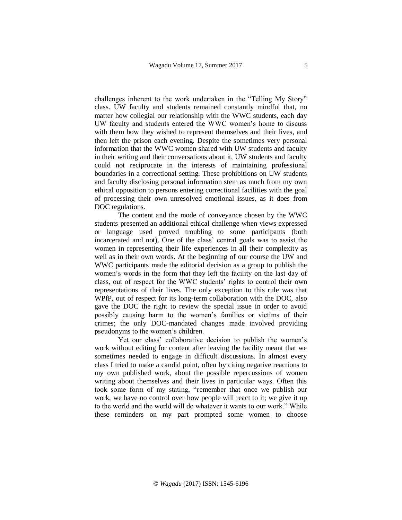challenges inherent to the work undertaken in the "Telling My Story" class. UW faculty and students remained constantly mindful that, no matter how collegial our relationship with the WWC students, each day UW faculty and students entered the WWC women's home to discuss with them how they wished to represent themselves and their lives, and then left the prison each evening. Despite the sometimes very personal information that the WWC women shared with UW students and faculty in their writing and their conversations about it, UW students and faculty could not reciprocate in the interests of maintaining professional boundaries in a correctional setting. These prohibitions on UW students and faculty disclosing personal information stem as much from my own ethical opposition to persons entering correctional facilities with the goal of processing their own unresolved emotional issues, as it does from DOC regulations.

The content and the mode of conveyance chosen by the WWC students presented an additional ethical challenge when views expressed or language used proved troubling to some participants (both incarcerated and not). One of the class' central goals was to assist the women in representing their life experiences in all their complexity as well as in their own words. At the beginning of our course the UW and WWC participants made the editorial decision as a group to publish the women's words in the form that they left the facility on the last day of class, out of respect for the WWC students' rights to control their own representations of their lives. The only exception to this rule was that WPfP, out of respect for its long-term collaboration with the DOC, also gave the DOC the right to review the special issue in order to avoid possibly causing harm to the women's families or victims of their crimes; the only DOC-mandated changes made involved providing pseudonyms to the women's children.

Yet our class' collaborative decision to publish the women's work without editing for content after leaving the facility meant that we sometimes needed to engage in difficult discussions. In almost every class I tried to make a candid point, often by citing negative reactions to my own published work, about the possible repercussions of women writing about themselves and their lives in particular ways. Often this took some form of my stating, "remember that once we publish our work, we have no control over how people will react to it; we give it up to the world and the world will do whatever it wants to our work." While these reminders on my part prompted some women to choose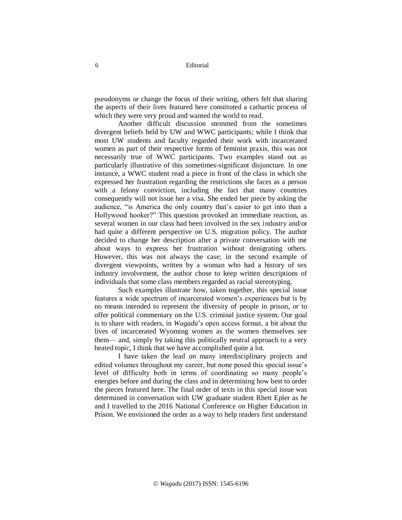pseudonyms or change the focus of their writing, others felt that sharing the aspects of their lives featured here constituted a cathartic process of which they were very proud and wanted the world to read.

Another difficult discussion stemmed from the sometimes divergent beliefs held by UW and WWC participants; while I think that most UW students and faculty regarded their work with incarcerated women as part of their respective forms of feminist praxis, this was not necessarily true of WWC participants. Two examples stand out as particularly illustrative of this sometimes-significant disjuncture. In one instance, a WWC student read a piece in front of the class in which she expressed her frustration regarding the restrictions she faces as a person with a felony conviction, including the fact that many countries consequently will not issue her a visa. She ended her piece by asking the audience, "is America the only country that's easier to get into than a Hollywood hooker?" This question provoked an immediate reaction, as several women in our class had been involved in the sex industry and/or had quite a different perspective on U.S. migration policy. The author decided to change her description after a private conversation with me about ways to express her frustration without denigrating others. However, this was not always the case; in the second example of divergent viewpoints, written by a woman who had a history of sex industry involvement, the author chose to keep written descriptions of individuals that some class members regarded as racial stereotyping.

Such examples illustrate how, taken together, this special issue features a wide spectrum of incarcerated women's experiences but is by no means intended to represent the diversity of people in prison, or to offer political commentary on the U.S. criminal justice system. Our goal is to share with readers, in *Wagadu*'s open access format, a bit about the lives of incarcerated Wyoming women as the women themselves see them— and, simply by taking this politically neutral approach to a very heated topic, I think that we have accomplished quite a lot.

I have taken the lead on many interdisciplinary projects and edited volumes throughout my career, but none posed this special issue's level of difficulty both in terms of coordinating so many people's energies before and during the class and in determining how best to order the pieces featured here. The final order of texts in this special issue was determined in conversation with UW graduate student Rhett Epler as he and I travelled to the 2016 National Conference on Higher Education in Prison. We envisioned the order as a way to help readers first understand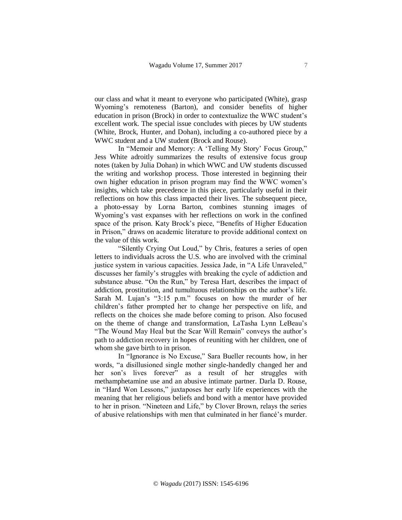our class and what it meant to everyone who participated (White), grasp Wyoming's remoteness (Barton), and consider benefits of higher education in prison (Brock) in order to contextualize the WWC student's excellent work. The special issue concludes with pieces by UW students (White, Brock, Hunter, and Dohan), including a co-authored piece by a WWC student and a UW student (Brock and Rouse).

In "Memoir and Memory: A 'Telling My Story' Focus Group," Jess White adroitly summarizes the results of extensive focus group notes (taken by Julia Dohan) in which WWC and UW students discussed the writing and workshop process. Those interested in beginning their own higher education in prison program may find the WWC women's insights, which take precedence in this piece, particularly useful in their reflections on how this class impacted their lives. The subsequent piece, a photo-essay by Lorna Barton, combines stunning images of Wyoming's vast expanses with her reflections on work in the confined space of the prison. Katy Brock's piece, "Benefits of Higher Education in Prison," draws on academic literature to provide additional context on the value of this work.

"Silently Crying Out Loud," by Chris, features a series of open letters to individuals across the U.S. who are involved with the criminal justice system in various capacities. Jessica Jade, in "A Life Unraveled," discusses her family's struggles with breaking the cycle of addiction and substance abuse. "On the Run," by Teresa Hart, describes the impact of addiction, prostitution, and tumultuous relationships on the author's life. Sarah M. Lujan's "3:15 p.m." focuses on how the murder of her children's father prompted her to change her perspective on life, and reflects on the choices she made before coming to prison. Also focused on the theme of change and transformation, LaTasha Lynn LeBeau's "The Wound May Heal but the Scar Will Remain" conveys the author's path to addiction recovery in hopes of reuniting with her children, one of whom she gave birth to in prison.

In "Ignorance is No Excuse," Sara Bueller recounts how, in her words, "a disillusioned single mother single-handedly changed her and her son's lives forever" as a result of her struggles with methamphetamine use and an abusive intimate partner. Darla D. Rouse, in "Hard Won Lessons," juxtaposes her early life experiences with the meaning that her religious beliefs and bond with a mentor have provided to her in prison. "Nineteen and Life," by Clover Brown, relays the series of abusive relationships with men that culminated in her fiancé's murder.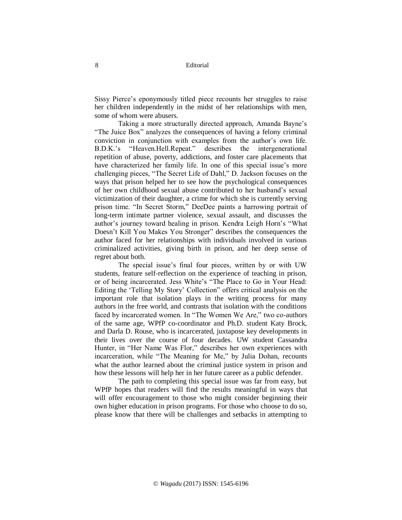Sissy Pierce's eponymously titled piece recounts her struggles to raise her children independently in the midst of her relationships with men, some of whom were abusers.

Taking a more structurally directed approach, Amanda Bayne's "The Juice Box" analyzes the consequences of having a felony criminal conviction in conjunction with examples from the author's own life. B.D.K.'s "Heaven.Hell.Repeat." describes the intergenerational repetition of abuse, poverty, addictions, and foster care placements that have characterized her family life. In one of this special issue's more challenging pieces, "The Secret Life of Dahl," D. Jackson focuses on the ways that prison helped her to see how the psychological consequences of her own childhood sexual abuse contributed to her husband's sexual victimization of their daughter, a crime for which she is currently serving prison time. "In Secret Storm," DeeDee paints a harrowing portrait of long-term intimate partner violence, sexual assault, and discusses the author's journey toward healing in prison. Kendra Leigh Horn's "What Doesn't Kill You Makes You Stronger" describes the consequences the author faced for her relationships with individuals involved in various criminalized activities, giving birth in prison, and her deep sense of regret about both.

The special issue's final four pieces, written by or with UW students, feature self-reflection on the experience of teaching in prison, or of being incarcerated. Jess White's "The Place to Go in Your Head: Editing the 'Telling My Story' Collection" offers critical analysis on the important role that isolation plays in the writing process for many authors in the free world, and contrasts that isolation with the conditions faced by incarcerated women. In "The Women We Are," two co-authors of the same age, WPfP co-coordinator and Ph.D. student Katy Brock, and Darla D. Rouse, who is incarcerated, juxtapose key developments in their lives over the course of four decades. UW student Cassandra Hunter, in "Her Name Was Flor," describes her own experiences with incarceration, while "The Meaning for Me," by Julia Dohan, recounts what the author learned about the criminal justice system in prison and how these lessons will help her in her future career as a public defender.

The path to completing this special issue was far from easy, but WPfP hopes that readers will find the results meaningful in ways that will offer encouragement to those who might consider beginning their own higher education in prison programs. For those who choose to do so, please know that there will be challenges and setbacks in attempting to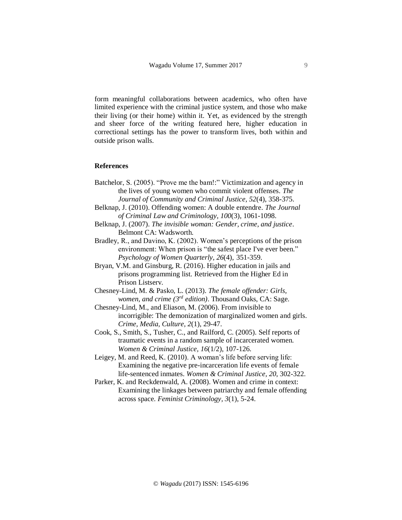form meaningful collaborations between academics, who often have limited experience with the criminal justice system, and those who make their living (or their home) within it. Yet, as evidenced by the strength and sheer force of the writing featured here, higher education in correctional settings has the power to transform lives, both within and outside prison walls.

## **References**

- Batchelor, S. (2005). "Prove me the bam!:" Victimization and agency in the lives of young women who commit violent offenses. *The Journal of Community and Criminal Justice, 52*(4), 358-375.
- Belknap, J. (2010). Offending women: A double entendre. *The Journal of Criminal Law and Criminology, 100*(3), 1061-1098.
- Belknap, J. (2007). *The invisible woman: Gender, crime, and justice*. Belmont CA: Wadsworth.
- Bradley, R., and Davino, K. (2002). Women's perceptions of the prison environment: When prison is "the safest place I've ever been." *Psychology of Women Quarterly, 26*(4), 351-359.
- Bryan, V.M. and Ginsburg, R. (2016). Higher education in jails and prisons programming list. Retrieved from the Higher Ed in Prison Listserv.
- Chesney-Lind, M. & Pasko, L. (2013). *The female offender: Girls, women, and crime (3rd edition)*. Thousand Oaks, CA: Sage.
- Chesney-Lind, M., and Eliason, M. (2006). From invisible to incorrigible: The demonization of marginalized women and girls. *Crime, Media, Culture, 2*(1), 29-47.
- Cook, S., Smith, S., Tusher, C., and Railford, C. (2005). Self reports of traumatic events in a random sample of incarcerated women. *Women & Criminal Justice, 16*(1/2), 107-126.
- Leigey, M. and Reed, K. (2010). A woman's life before serving life: Examining the negative pre-incarceration life events of female life-sentenced inmates. *Women & Criminal Justice, 20*, 302-322.
- Parker, K. and Reckdenwald, A. (2008). Women and crime in context: Examining the linkages between patriarchy and female offending across space. *Feminist Criminology, 3*(1), 5-24.